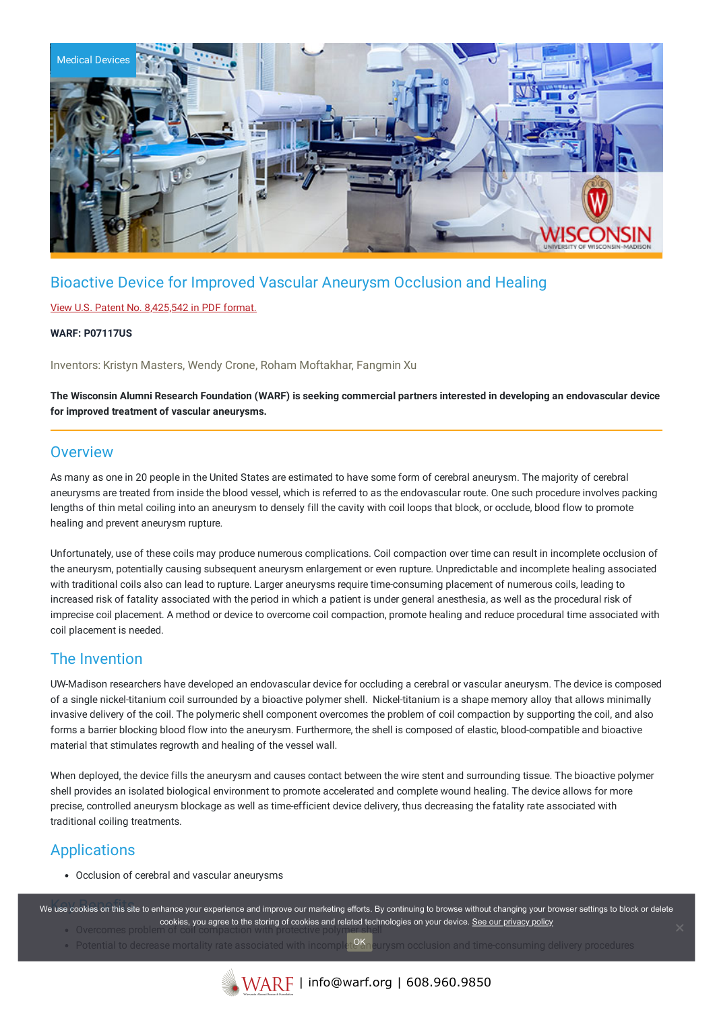

# Bioactive Device for Improved Vascular Aneurysm Occlusion and Healing

### View U.S. Patent No. [8,425,542](https://www.warf.org/wp-content/uploads/technologies/ipstatus/P07117US.PDF) in PDF format.

### **WARF: P07117US**

Inventors: Kristyn Masters, Wendy Crone, Roham Moftakhar, Fangmin Xu

### The Wisconsin Alumni Research Foundation (WARF) is seeking commercial partners interested in developing an endovascular device **for improved treatment of vascular aneurysms.**

## **Overview**

As many as one in 20 people in the United States are estimated to have some form of cerebral aneurysm. The majority of cerebral aneurysms are treated from inside the blood vessel, which is referred to as the endovascular route. One such procedure involves packing lengths of thin metal coiling into an aneurysm to densely fill the cavity with coil loops that block, or occlude, blood flow to promote healing and prevent aneurysm rupture.

Unfortunately, use of these coils may produce numerous complications. Coil compaction over time can result in incomplete occlusion of the aneurysm, potentially causing subsequent aneurysm enlargement or even rupture. Unpredictable and incomplete healing associated with traditional coils also can lead to rupture. Larger aneurysms require time-consuming placement of numerous coils, leading to increased risk of fatality associated with the period in which a patient is under general anesthesia, as well as the procedural risk of imprecise coil placement. A method or device to overcome coil compaction, promote healing and reduce procedural time associated with coil placement is needed.

## The Invention

UW-Madison researchers have developed an endovascular device for occluding a cerebral or vascular aneurysm. The device is composed of a single nickel-titanium coil surrounded by a bioactive polymer shell. Nickel-titanium is a shape memory alloy that allows minimally invasive delivery of the coil. The polymeric shell component overcomes the problem of coil compaction by supporting the coil, and also forms a barrier blocking blood flow into the aneurysm. Furthermore, the shell is composed of elastic, blood-compatible and bioactive material that stimulates regrowth and healing of the vessel wall.

When deployed, the device fills the aneurysm and causes contact between the wire stent and surrounding tissue. The bioactive polymer shell provides an isolated biological environment to promote accelerated and complete wound healing. The device allows for more precise, controlled aneurysm blockage as well as time-efficient device delivery, thus decreasing the fatality rate associated with traditional coiling treatments.

## Applications

Occlusion of cerebral and vascular aneurysms

we use cookies on this site to enhance your experience and improve our marketing efforts. By continuing to browse without changing your browser settings to block or delete cookies, you agree to the storing of cookies and related technologies on your device. [See our privacy policy](https://www.warf.org/privacy-policy/)

- $\bullet$  Qvercomes problem
- Potential to decrease mortality rate associated with incomplet  $^{O\!K}$ neurysm occlusion and time-consuming delivery procedures OK